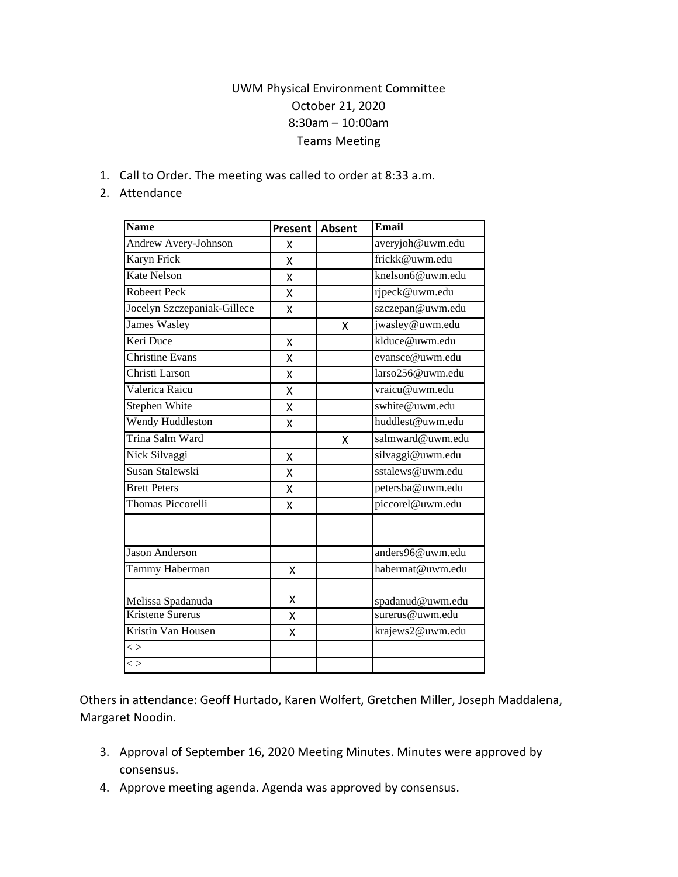## UWM Physical Environment Committee October 21, 2020 8:30am – 10:00am Teams Meeting

1. Call to Order. The meeting was called to order at 8:33 a.m.

## 2. Attendance

| <b>Name</b>                 | Present | <b>Absent</b> | <b>Email</b>     |
|-----------------------------|---------|---------------|------------------|
| Andrew Avery-Johnson        | x       |               | averyjoh@uwm.edu |
| Karyn Frick                 | X       |               | frickk@uwm.edu   |
| <b>Kate Nelson</b>          | X       |               | knelson6@uwm.edu |
| <b>Robeert Peck</b>         | Χ       |               | rjpeck@uwm.edu   |
| Jocelyn Szczepaniak-Gillece | X       |               | szczepan@uwm.edu |
| <b>James Wasley</b>         |         | X             | jwasley@uwm.edu  |
| Keri Duce                   | X       |               | klduce@uwm.edu   |
| Christine Evans             | X       |               | evansce@uwm.edu  |
| Christi Larson              | X       |               | larso256@uwm.edu |
| Valerica Raicu              | X       |               | vraicu@uwm.edu   |
| <b>Stephen White</b>        | X       |               | swhite@uwm.edu   |
| Wendy Huddleston            | X       |               | huddlest@uwm.edu |
| Trina Salm Ward             |         | X             | salmward@uwm.edu |
| Nick Silvaggi               | Χ       |               | silvaggi@uwm.edu |
| Susan Stalewski             | X       |               | sstalews@uwm.edu |
| <b>Brett Peters</b>         | Χ       |               | petersba@uwm.edu |
| <b>Thomas Piccorelli</b>    | X       |               | piccorel@uwm.edu |
|                             |         |               |                  |
| <b>Jason Anderson</b>       |         |               | anders96@uwm.edu |
| Tammy Haberman              | X       |               | habermat@uwm.edu |
| Melissa Spadanuda           | Χ       |               | spadanud@uwm.edu |
| <b>Kristene Surerus</b>     | Χ       |               | surerus@uwm.edu  |
| Kristin Van Housen          | x       |               | krajews2@uwm.edu |
| $\overline{~}$              |         |               |                  |
| $\lt$                       |         |               |                  |

Others in attendance: Geoff Hurtado, Karen Wolfert, Gretchen Miller, Joseph Maddalena, Margaret Noodin.

- 3. Approval of September 16, 2020 Meeting Minutes. Minutes were approved by consensus.
- 4. Approve meeting agenda. Agenda was approved by consensus.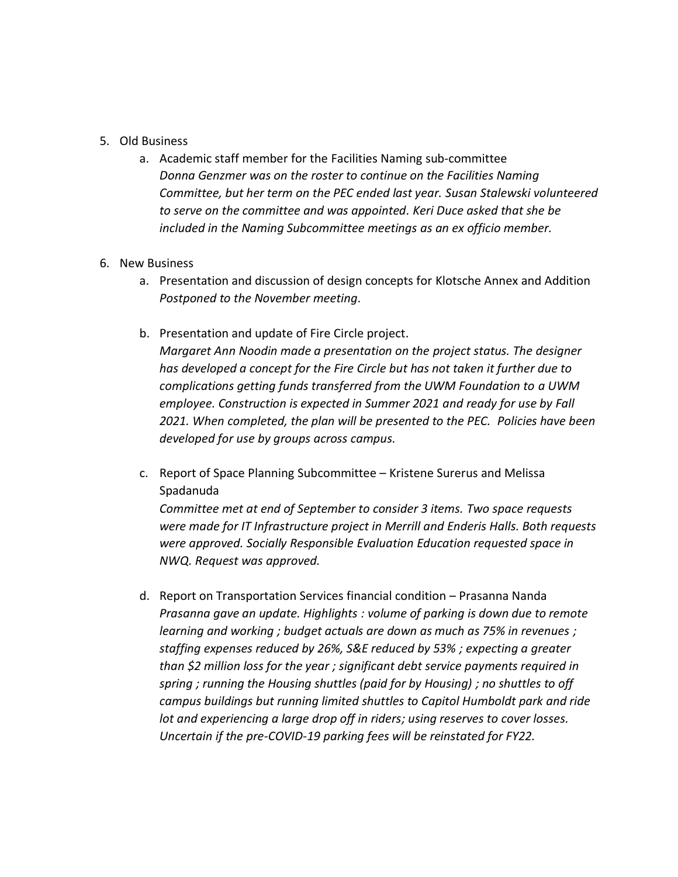## 5. Old Business

a. Academic staff member for the Facilities Naming sub-committee *Donna Genzmer was on the roster to continue on the Facilities Naming Committee, but her term on the PEC ended last year. Susan Stalewski volunteered to serve on the committee and was appointed. Keri Duce asked that she be included in the Naming Subcommittee meetings as an ex officio member.* 

## 6. New Business

- a. Presentation and discussion of design concepts for Klotsche Annex and Addition *Postponed to the November meeting.*
- b. Presentation and update of Fire Circle project.

*Margaret Ann Noodin made a presentation on the project status. The designer has developed a concept for the Fire Circle but has not taken it further due to complications getting funds transferred from the UWM Foundation to a UWM employee. Construction is expected in Summer 2021 and ready for use by Fall 2021. When completed, the plan will be presented to the PEC. Policies have been developed for use by groups across campus.* 

c. Report of Space Planning Subcommittee – Kristene Surerus and Melissa Spadanuda

*Committee met at end of September to consider 3 items. Two space requests were made for IT Infrastructure project in Merrill and Enderis Halls. Both requests were approved. Socially Responsible Evaluation Education requested space in NWQ. Request was approved.*

d. Report on Transportation Services financial condition – Prasanna Nanda *Prasanna gave an update. Highlights : volume of parking is down due to remote learning and working ; budget actuals are down as much as 75% in revenues ; staffing expenses reduced by 26%, S&E reduced by 53% ; expecting a greater than \$2 million loss for the year ; significant debt service payments required in spring ; running the Housing shuttles (paid for by Housing) ; no shuttles to off campus buildings but running limited shuttles to Capitol Humboldt park and ride lot and experiencing a large drop off in riders; using reserves to cover losses. Uncertain if the pre-COVID-19 parking fees will be reinstated for FY22.*